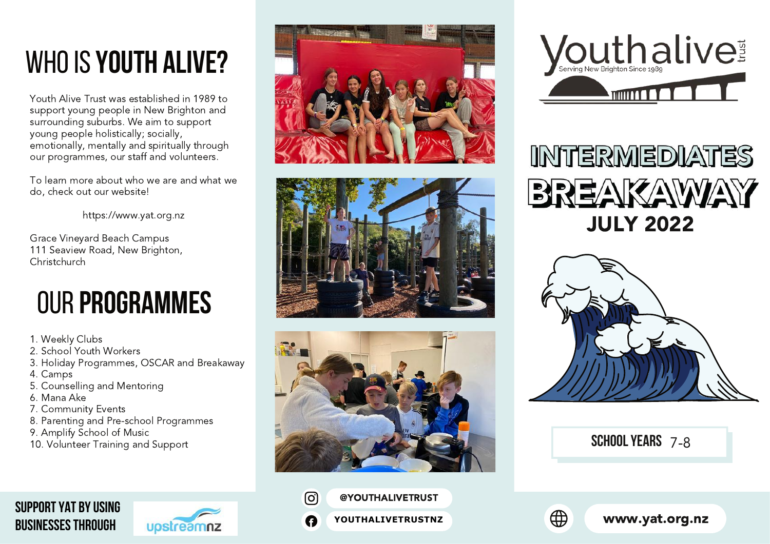# <span id="page-0-0"></span>whoIS **YOUTH ALIVE?**

Youth Alive Trust was established in 1989 to support young people in New Brighton and surrounding suburbs. We aim to support young people holistically; socially, emotionally, mentally and spiritually through our programmes, our staff and volunteers.

To learn more about who we are and what we do, check out our website!

https://www.yat.org.nz

Grace Vineyard Beach Campus 111 Seaview Road, New Brighton, Christchurch

# our **Programmes**

- 1. Weekly Clubs
- 2. School Youth Workers
- 3. Holiday Programmes, OSCAR and Breakaway
- 4. Camps
- 5. Counselling and Mentoring
- 6. Mana Ake
- 7. Community Events
- 8. Parenting and Pre-school Programmes
- 9. Amplify School of Music
- 10. Volunteer Training and Support













**SCHOOL YEARS** 7-8

#### **[SUPPORT YAT BY USING](https://www.upstreamnz.co.nz/) BUSINESSES THROUGH**





[@YOUTHALIVETRUST](https://www.instagram.com/youthalivetrust/) **[YOUTHALIVETRUSTNZ](https://www.facebook.com/youthalivetrustnz)**